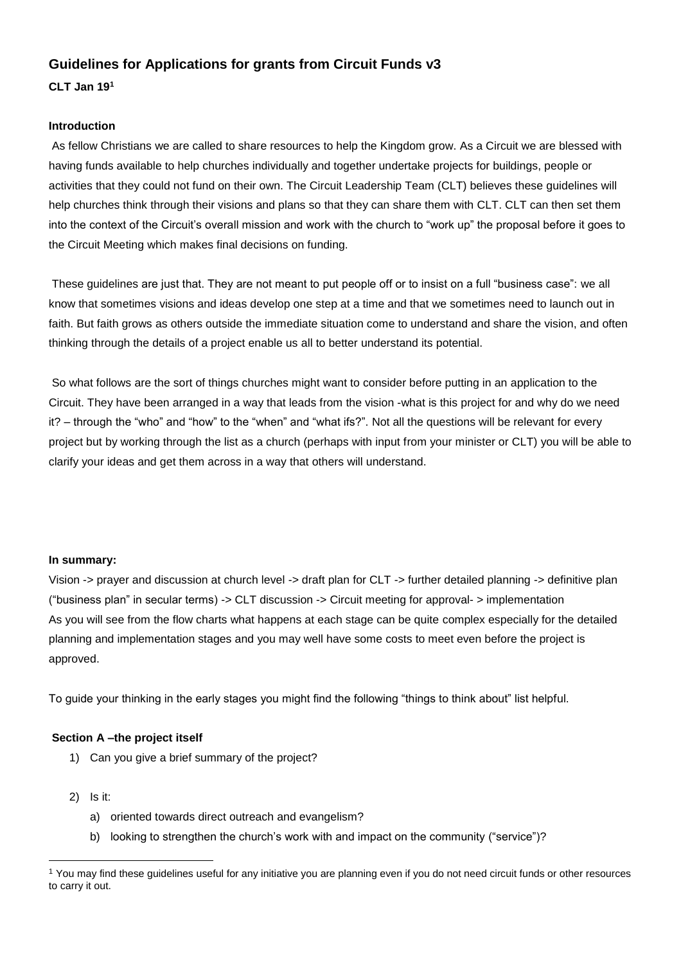# **Guidelines for Applications for grants from Circuit Funds v3**

**CLT Jan 19<sup>1</sup>**

#### **Introduction**

As fellow Christians we are called to share resources to help the Kingdom grow. As a Circuit we are blessed with having funds available to help churches individually and together undertake projects for buildings, people or activities that they could not fund on their own. The Circuit Leadership Team (CLT) believes these guidelines will help churches think through their visions and plans so that they can share them with CLT. CLT can then set them into the context of the Circuit's overall mission and work with the church to "work up" the proposal before it goes to the Circuit Meeting which makes final decisions on funding.

These guidelines are just that. They are not meant to put people off or to insist on a full "business case": we all know that sometimes visions and ideas develop one step at a time and that we sometimes need to launch out in faith. But faith grows as others outside the immediate situation come to understand and share the vision, and often thinking through the details of a project enable us all to better understand its potential.

So what follows are the sort of things churches might want to consider before putting in an application to the Circuit. They have been arranged in a way that leads from the vision -what is this project for and why do we need it? – through the "who" and "how" to the "when" and "what ifs?". Not all the questions will be relevant for every project but by working through the list as a church (perhaps with input from your minister or CLT) you will be able to clarify your ideas and get them across in a way that others will understand.

#### **In summary:**

Vision -> prayer and discussion at church level -> draft plan for CLT -> further detailed planning -> definitive plan ("business plan" in secular terms) -> CLT discussion -> Circuit meeting for approval- > implementation As you will see from the flow charts what happens at each stage can be quite complex especially for the detailed planning and implementation stages and you may well have some costs to meet even before the project is approved.

To guide your thinking in the early stages you might find the following "things to think about" list helpful.

## **Section A –the project itself**

- 1) Can you give a brief summary of the project?
- 2) Is it:

 $\overline{a}$ 

- a) oriented towards direct outreach and evangelism?
- b) looking to strengthen the church's work with and impact on the community ("service")?

<sup>&</sup>lt;sup>1</sup> You may find these guidelines useful for any initiative you are planning even if you do not need circuit funds or other resources to carry it out.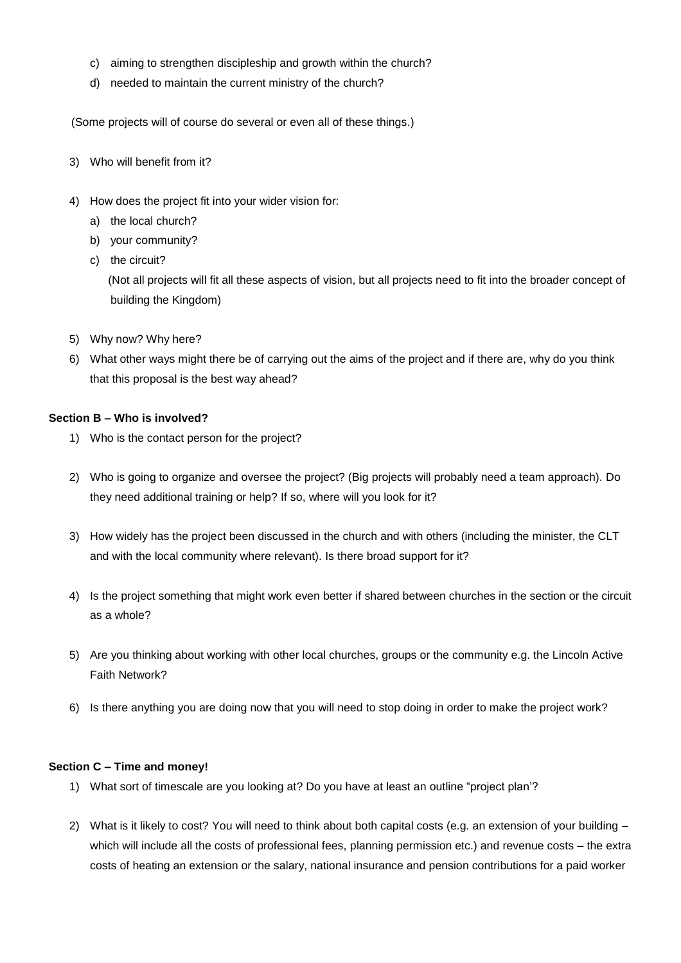- c) aiming to strengthen discipleship and growth within the church?
- d) needed to maintain the current ministry of the church?

(Some projects will of course do several or even all of these things.)

- 3) Who will benefit from it?
- 4) How does the project fit into your wider vision for:
	- a) the local church?
	- b) your community?
	- c) the circuit?

 (Not all projects will fit all these aspects of vision, but all projects need to fit into the broader concept of building the Kingdom)

- 5) Why now? Why here?
- 6) What other ways might there be of carrying out the aims of the project and if there are, why do you think that this proposal is the best way ahead?

#### **Section B – Who is involved?**

- 1) Who is the contact person for the project?
- 2) Who is going to organize and oversee the project? (Big projects will probably need a team approach). Do they need additional training or help? If so, where will you look for it?
- 3) How widely has the project been discussed in the church and with others (including the minister, the CLT and with the local community where relevant). Is there broad support for it?
- 4) Is the project something that might work even better if shared between churches in the section or the circuit as a whole?
- 5) Are you thinking about working with other local churches, groups or the community e.g. the Lincoln Active Faith Network?
- 6) Is there anything you are doing now that you will need to stop doing in order to make the project work?

#### **Section C – Time and money!**

- 1) What sort of timescale are you looking at? Do you have at least an outline "project plan'?
- 2) What is it likely to cost? You will need to think about both capital costs (e.g. an extension of your building which will include all the costs of professional fees, planning permission etc.) and revenue costs – the extra costs of heating an extension or the salary, national insurance and pension contributions for a paid worker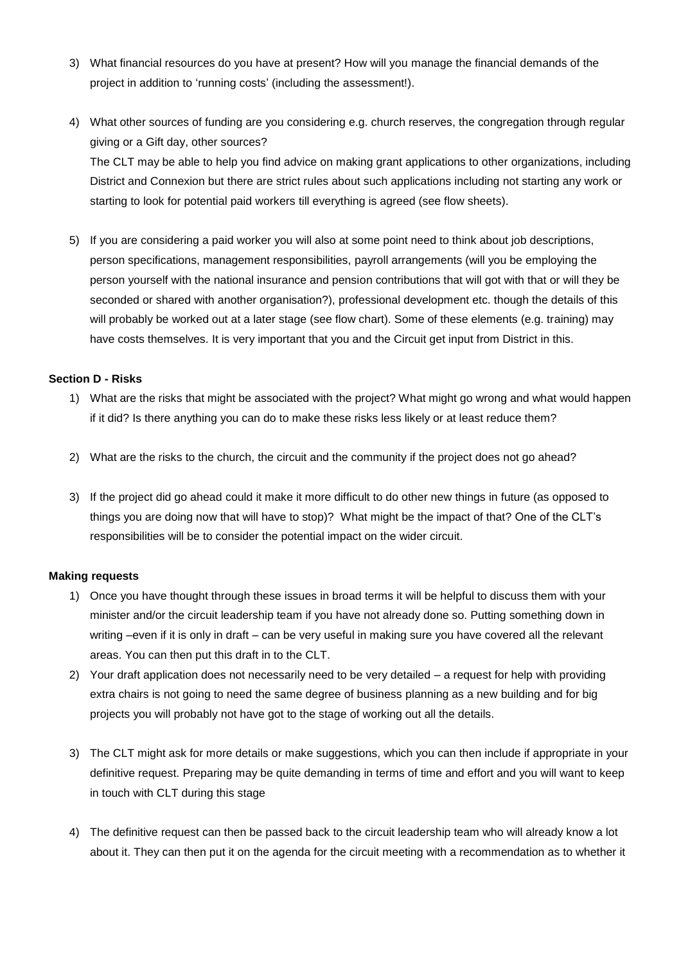- 3) What financial resources do you have at present? How will you manage the financial demands of the project in addition to 'running costs' (including the assessment!).
- 4) What other sources of funding are you considering e.g. church reserves, the congregation through regular giving or a Gift day, other sources? The CLT may be able to help you find advice on making grant applications to other organizations, including District and Connexion but there are strict rules about such applications including not starting any work or starting to look for potential paid workers till everything is agreed (see flow sheets).
- 5) If you are considering a paid worker you will also at some point need to think about job descriptions, person specifications, management responsibilities, payroll arrangements (will you be employing the person yourself with the national insurance and pension contributions that will got with that or will they be seconded or shared with another organisation?), professional development etc. though the details of this will probably be worked out at a later stage (see flow chart). Some of these elements (e.g. training) may have costs themselves. It is very important that you and the Circuit get input from District in this.

### **Section D - Risks**

- 1) What are the risks that might be associated with the project? What might go wrong and what would happen if it did? Is there anything you can do to make these risks less likely or at least reduce them?
- 2) What are the risks to the church, the circuit and the community if the project does not go ahead?
- 3) If the project did go ahead could it make it more difficult to do other new things in future (as opposed to things you are doing now that will have to stop)? What might be the impact of that? One of the CLT's responsibilities will be to consider the potential impact on the wider circuit.

#### **Making requests**

- 1) Once you have thought through these issues in broad terms it will be helpful to discuss them with your minister and/or the circuit leadership team if you have not already done so. Putting something down in writing –even if it is only in draft – can be very useful in making sure you have covered all the relevant areas. You can then put this draft in to the CLT.
- 2) Your draft application does not necessarily need to be very detailed a request for help with providing extra chairs is not going to need the same degree of business planning as a new building and for big projects you will probably not have got to the stage of working out all the details.
- 3) The CLT might ask for more details or make suggestions, which you can then include if appropriate in your definitive request. Preparing may be quite demanding in terms of time and effort and you will want to keep in touch with CLT during this stage
- 4) The definitive request can then be passed back to the circuit leadership team who will already know a lot about it. They can then put it on the agenda for the circuit meeting with a recommendation as to whether it